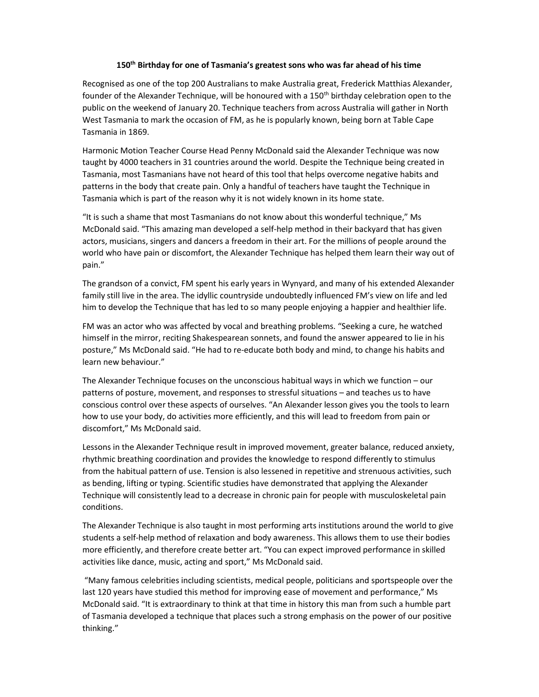## 150th Birthday for one of Tasmania's greatest sons who was far ahead of his time

Recognised as one of the top 200 Australians to make Australia great, Frederick Matthias Alexander, founder of the Alexander Technique, will be honoured with a  $150<sup>th</sup>$  birthday celebration open to the public on the weekend of January 20. Technique teachers from across Australia will gather in North West Tasmania to mark the occasion of FM, as he is popularly known, being born at Table Cape Tasmania in 1869.

Harmonic Motion Teacher Course Head Penny McDonald said the Alexander Technique was now taught by 4000 teachers in 31 countries around the world. Despite the Technique being created in Tasmania, most Tasmanians have not heard of this tool that helps overcome negative habits and patterns in the body that create pain. Only a handful of teachers have taught the Technique in Tasmania which is part of the reason why it is not widely known in its home state.

"It is such a shame that most Tasmanians do not know about this wonderful technique," Ms McDonald said. "This amazing man developed a self-help method in their backyard that has given actors, musicians, singers and dancers a freedom in their art. For the millions of people around the world who have pain or discomfort, the Alexander Technique has helped them learn their way out of pain."

The grandson of a convict, FM spent his early years in Wynyard, and many of his extended Alexander family still live in the area. The idyllic countryside undoubtedly influenced FM's view on life and led him to develop the Technique that has led to so many people enjoying a happier and healthier life.

FM was an actor who was affected by vocal and breathing problems. "Seeking a cure, he watched himself in the mirror, reciting Shakespearean sonnets, and found the answer appeared to lie in his posture," Ms McDonald said. "He had to re-educate both body and mind, to change his habits and learn new behaviour."

The Alexander Technique focuses on the unconscious habitual ways in which we function – our patterns of posture, movement, and responses to stressful situations – and teaches us to have conscious control over these aspects of ourselves. "An Alexander lesson gives you the tools to learn how to use your body, do activities more efficiently, and this will lead to freedom from pain or discomfort," Ms McDonald said.

Lessons in the Alexander Technique result in improved movement, greater balance, reduced anxiety, rhythmic breathing coordination and provides the knowledge to respond differently to stimulus from the habitual pattern of use. Tension is also lessened in repetitive and strenuous activities, such as bending, lifting or typing. Scientific studies have demonstrated that applying the Alexander Technique will consistently lead to a decrease in chronic pain for people with musculoskeletal pain conditions.

The Alexander Technique is also taught in most performing arts institutions around the world to give students a self-help method of relaxation and body awareness. This allows them to use their bodies more efficiently, and therefore create better art. "You can expect improved performance in skilled activities like dance, music, acting and sport," Ms McDonald said.

 "Many famous celebrities including scientists, medical people, politicians and sportspeople over the last 120 years have studied this method for improving ease of movement and performance," Ms McDonald said. "It is extraordinary to think at that time in history this man from such a humble part of Tasmania developed a technique that places such a strong emphasis on the power of our positive thinking."